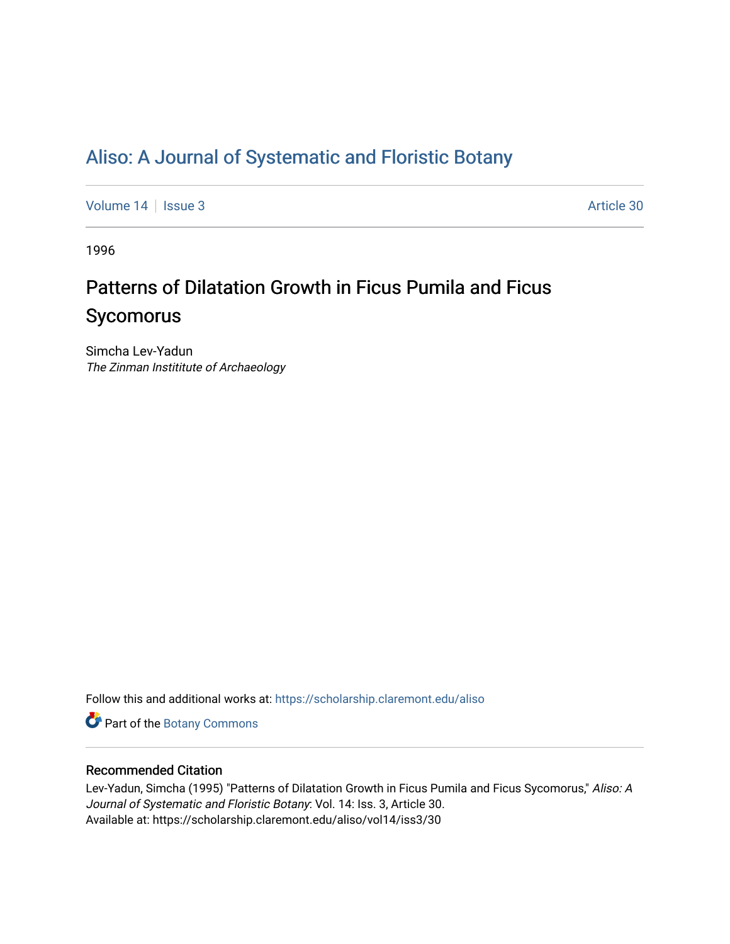## [Aliso: A Journal of Systematic and Floristic Botany](https://scholarship.claremont.edu/aliso)

[Volume 14](https://scholarship.claremont.edu/aliso/vol14) | [Issue 3](https://scholarship.claremont.edu/aliso/vol14/iss3) Article 30

1996

# Patterns of Dilatation Growth in Ficus Pumila and Ficus Sycomorus

Simcha Lev-Yadun The Zinman Instititute of Archaeology

Follow this and additional works at: [https://scholarship.claremont.edu/aliso](https://scholarship.claremont.edu/aliso?utm_source=scholarship.claremont.edu%2Faliso%2Fvol14%2Fiss3%2F30&utm_medium=PDF&utm_campaign=PDFCoverPages) 

Part of the [Botany Commons](https://network.bepress.com/hgg/discipline/104?utm_source=scholarship.claremont.edu%2Faliso%2Fvol14%2Fiss3%2F30&utm_medium=PDF&utm_campaign=PDFCoverPages) 

### Recommended Citation

Lev-Yadun, Simcha (1995) "Patterns of Dilatation Growth in Ficus Pumila and Ficus Sycomorus," Aliso: A Journal of Systematic and Floristic Botany: Vol. 14: Iss. 3, Article 30. Available at: https://scholarship.claremont.edu/aliso/vol14/iss3/30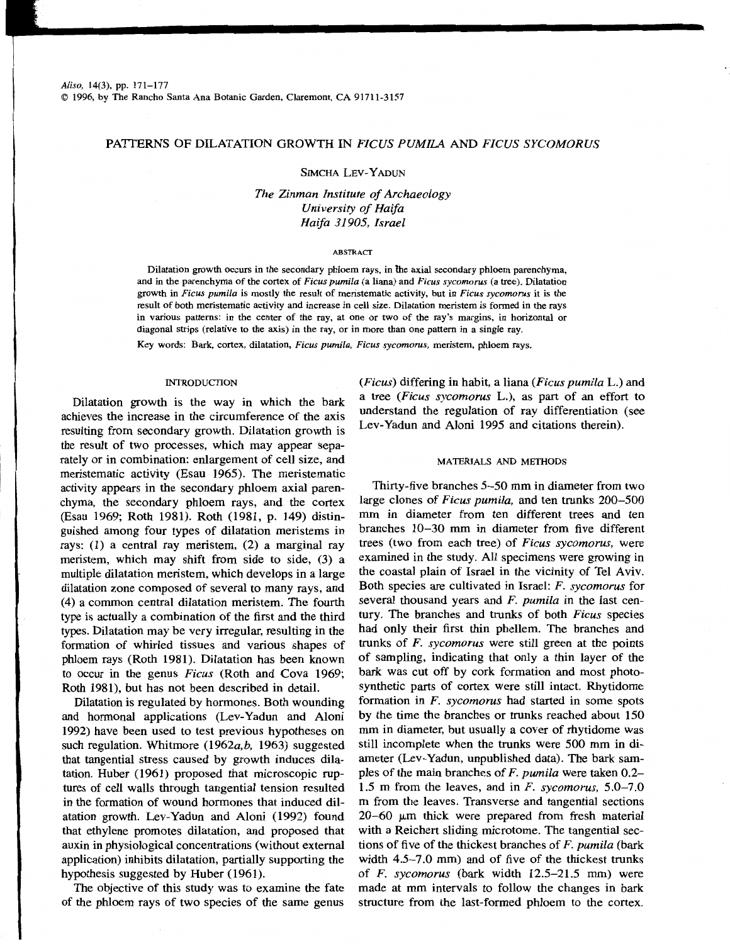### PATIERNS OF DILATATION GROWTH IN *FICUS PUMILA* AND *FICUS SYCOMORUS*

#### SIMCHA LEV-Y ADUN

*The Zinman Institute of Archaeology University of Haifa Haifa 3I905, Israel* 

#### ABSTRACT

Dilatation growth occurs in the secondary phloem rays, in the axial secondary phloem parenchyma, and in the parenchyma of the cortex of *Ficus pumila* (a Iiana) and *Ficus sycomorus* (a tree). Dilatation growth in *Ficus pumila* is mostly the result of meristematic activity, but in *Ficus sycomorus* it is the result of both meristematic activity and increase in cell size. Dilatation meristem is formed in the rays in various patterns: in the center of the ray, at one or two of the ray's margins, in horizontal or diagonal strips (relative to the axis) in the ray, or in more than one pattern in a single ray.

Key words: Bark, cortex, dilatation, *Ficus pumila, Ficus sycomorus,* meristem, phloem rays.

#### INTRODUCTION

Dilatation growth is the way in which the bark achieves the increase in the circumference of the axis resulting from secondary growth. Dilatation growth is the result of two processes, which may appear separately or in combination: enlargement of cell size, and meristematic activity (Esau 1965). The meristematic activity appears in the secondary phloem axial parenchyma, the secondary phloem rays, and the cortex (Esau 1969; Roth 1981). Roth (1981, p. 149) distinguished among four types of dilatation meristems in rays: (1) a central ray meristem, (2) a marginal ray meristem, which may shift from side to side, (3) a multiple dilatation meristem, which develops in a large dilatation zone composed of several to many rays, and (4) a common central dilatation meristem. The fourth type is actually a combination of the first and the third types. Dilatation may be very irregular, resulting in the formation of whirled tissues and various shapes of phloem rays (Roth 1981). Dilatation has been known to occur in the genus *Ficus* (Roth and Cova 1969; Roth 1981), but has not been described in detail.

Dilatation is regulated by hormones. Both wounding and hormonal applications (Lev-Yadun and Aloni 1992) have been used to test previous hypotheses on such regulation. Whitmore *(1962a,b,* 1963) suggested that tangential stress caused by growth induces dilatation. Huber (1961) proposed that microscopic ruptures of cell walls through tangential tension resulted in the formation of wound hormones that induced dilatation growth. Lev-Yadun and Aloni (1992) found that ethylene promotes dilatation, and proposed that auxin in physiological concentrations (without external application) inhibits dilatation, partially supporting the hypothesis suggested by Huber (1961).

The objective of this study was to examine the fate of the phloem rays of two species of the same genus *(Ficus)* differing in habit, a liana *(Ficus pumila* L.) and a tree *(Ficus sycomorus* L.), as part of an effort to understand the regulation of ray differentiation (see Lev-Yadun and Aloni 1995 and citations therein).

#### MATERIALS AND METHODS

Thirty-five branches 5-50 mm in diameter from two large clones of *Ficus pumila,* and ten trunks 200-500 mm in diameter from ten different trees and ten branches 10-30 mm in diameter from five different trees (two from each tree) of *Ficus sycomorus,* were examined in the study. All specimens were growing in the coastal plain of Israel in the vicinity of Tel Aviv. Both species are cultivated in Israel: *F. sycomorus* for several thousand years and *F. pumila* in the last century. The branches and trunks of both *Ficus* species had only their first thin phellem. The branches and trunks of *F. sycomorus* were still green at the points of sampling, indicating that only a thin layer of the bark was cut off by cork formation and most photosynthetic parts of cortex were still intact. Rhytidome formation in *F. sycomorus* had started in some spots by the time the branches or trunks reached about 150 mm in diameter, but usually a cover of rhytidome was still incomplete when the trunks were 500 mm in diameter (Lev-Yadun, unpublished data). The bark samples of the main branches of *F. pumila* were taken 0.2- 1.5 m from the leaves, and in *F. sycomorus,* 5.0-7.0 m from the leaves. Transverse and tangential sections  $20-60$   $\mu$ m thick were prepared from fresh material with a Reichert sliding microtome. The tangential sections of five of the thickest branches of *F. pumila* (bark width 4.5-7.0 mm) and of five of the thickest trunks of *F. sycomorus* (bark width 12.5-21.5 mm) were made at mm intervals to follow the changes in bark structure from the last-formed phloem to the cortex.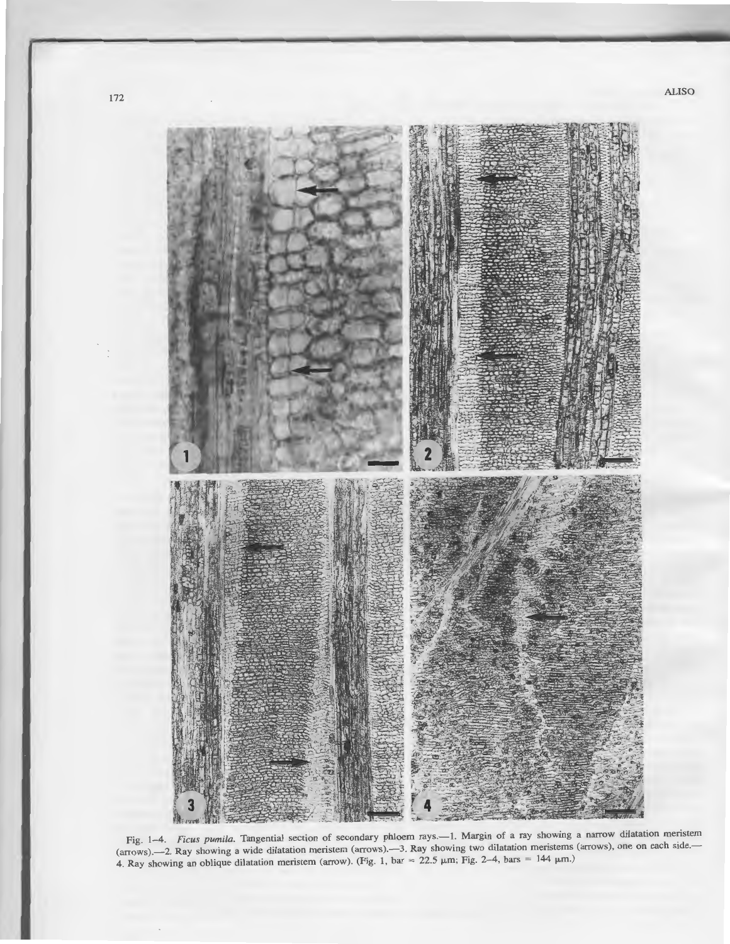

Fig. 1-4. *Ficus pumila*. Tangential section of secondary phloem rays.--1. Margin of a ray showing a narrow dilatation meristem (arrows).-2. Ray showing a wide dilatation meristem (arrows).-3. Ray showing two dilatation meristems (arrows), one on each side.-4. Ray showing an oblique dilatation meristem (arrow). (Fig. 1, bar = 22.5  $\mu$ m; Fig. 2-4, bars = 144  $\mu$ m.)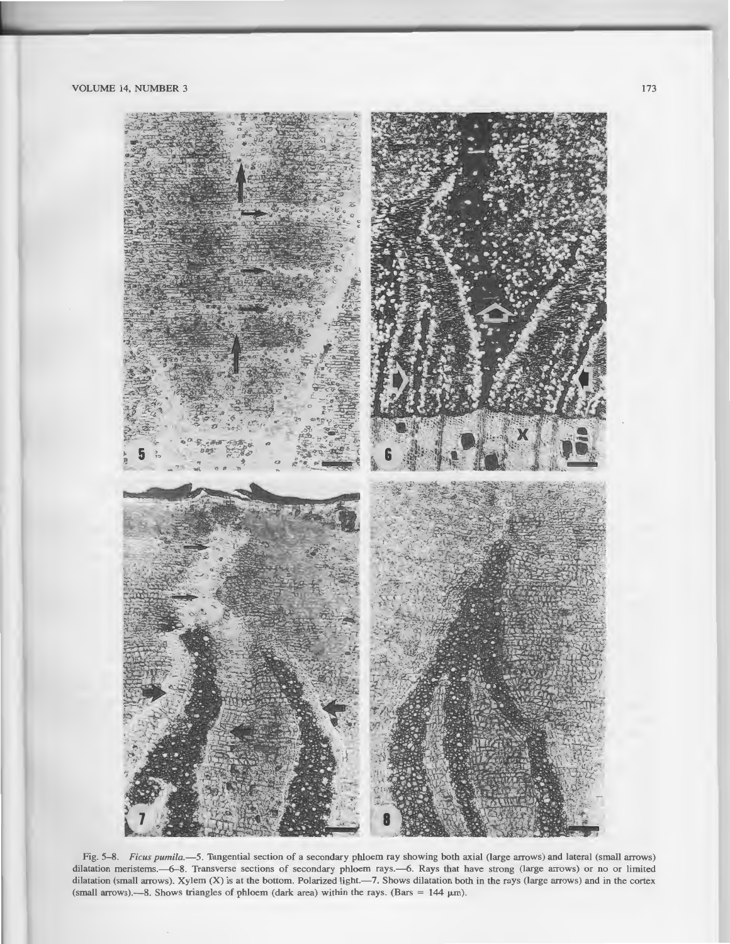

Fig. 5-8. *Ficus pumila.-5.* Tangential section of a secondary phloem ray showing both *axial* (large arrows) and lateral (small arrows) dilatation meristems.-6-8. Transverse sections of secondary phloem rays.-6. Rays that have strong (large arrows) or no or limited dilatation (small arrows). Xylem (X) is at the bottom. Polarized light.-7. Shows dilatation both in the rays (large arrows) and in the cortex (small arrows).---8. Shows triangles of phloem (dark area) within the rays. (Bars =  $144 \mu m$ ).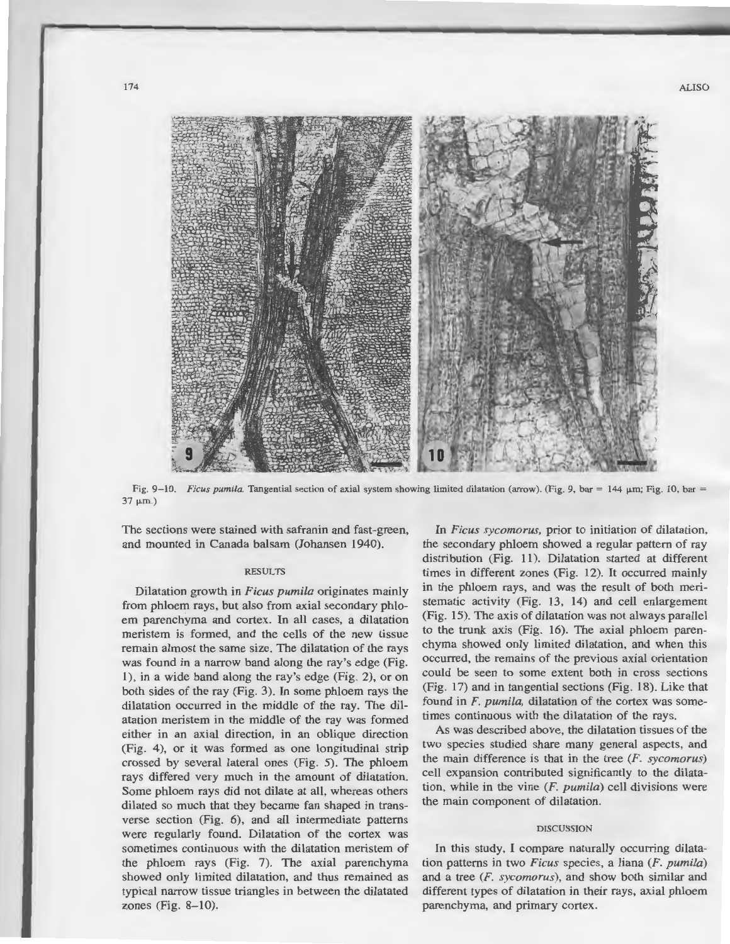

Fig. 9-10. Ficus pumila. Tangential section of axial system showing limited dilatation (arrow). (Fig. 9, bar = 144  $\mu$ m; Fig. 10, bar =  $37 \mu m.$ )

The sections were stained with safranin and fast-green, and mounted in Canada balsam (Johansen 1940).

#### RESULTS

Dilatation growth in *Ficus pumila* originates mainly from phloem rays, but also from axial secondary phloem parenchyma and cortex. In all cases, a dilatation meristem is formed, and the cells of the new tissue remain almost the same size. The dilatation of the rays was found in a narrow band along the ray's edge (Fig. 1), in a wide band along the ray's edge (Fig. 2), or on both sides of the ray (Fig. 3). In some phloem rays the dilatation occurred in the middle of the ray. The dilatation meristem in the middle of the ray was formed either in an axial direction, in an oblique direction (Fig. 4), or it was formed as one longitudinal strip crossed by several lateral ones (Fig. 5). The phloem rays differed very much in the amount of dilatation. Some phloem rays did not dilate at all, whereas others dilated so much that they became fan shaped in transverse section (Fig. 6), and all intermediate patterns were regularly found. Dilatation of the cortex was sometimes continuous with the dilatation meristem of the phloem rays (Fig. 7). The axial parenchyma showed only limited dilatation, and thus remained as typical narrow tissue triangles in between the dilatated zones (Fig. 8-10).

In *Ficus sycomorus,* prior to initiation of dilatation, the secondary phloem showed a regular pattern of ray distribution (Fig. 11). Dilatation started at different times in different zones (Fig. 12). It occurred mainly in the phloem rays, and was the result of both meristematic activity (Fig. 13, 14) and cell enlargement (Fig. 15). The axis of dilatation was not always parallel to the trunk axis (Fig. 16). The axial phloem parenchyma showed only limited dilatation, and when this occurred, the remains of the previous axial orientation could be seen to some extent both in cross sections (Fig. 17) and in tangential sections (Fig. 18). Like that found in *F. pumila,* dilatation of the cortex was sometimes continuous with the dilatation of the rays.

As was described above, the dilatation tissues of the two species studied share many general aspects, and the main difference is that in the tree (F. *sycomorus)*  cell expansion contributed significantly to the dilatation, while in the vine *(F. pumila)* cell divisions were the main component of dilatation.

#### DISCUSSION

In this study, I compare naturally occurring dilatation patterns in two *Ficus* species, a liana (F. *pumila)*  and a tree (F. *sycomorus),* and show both similar and different types of dilatation in their rays, axial phloem parenchyma, and primary cortex.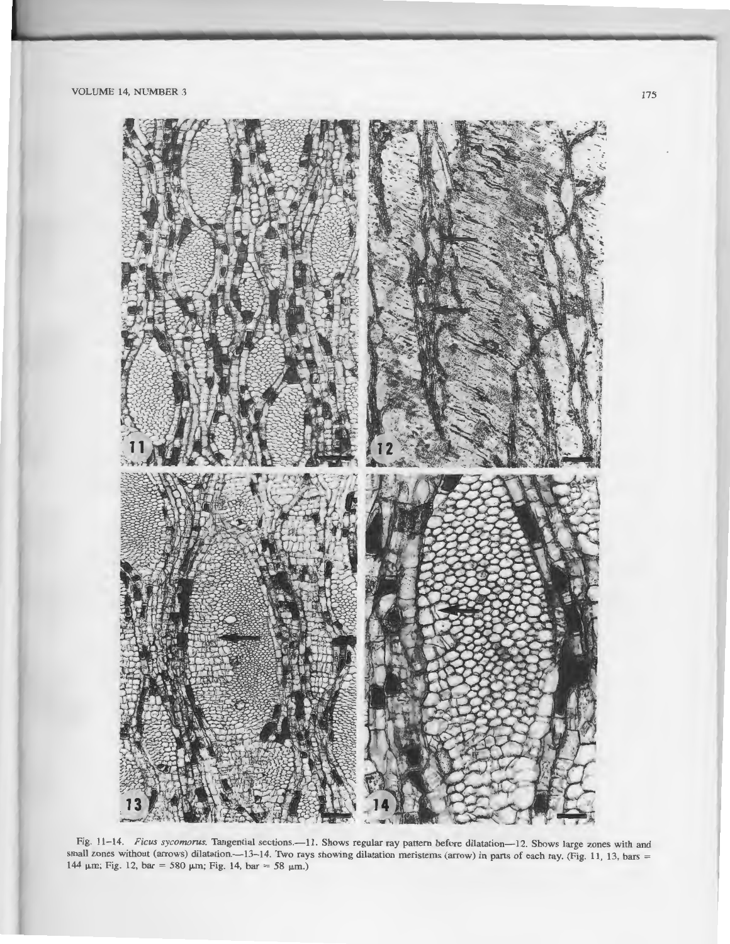

Fig. 11-14. *Ficus sycomorus*. Tangential sections.--11. Shows regular ray pattern before dilatation-12. Shows large zones with and small zones without (arrows) dilatation.-13-14. Two rays showing dilatation meristems (arrow) in parts of each ray. (Fig. 11, 13, bars = 144  $\mu$ m; Fig. 12, bar = 580  $\mu$ m; Fig. 14, bar = 58  $\mu$ m.)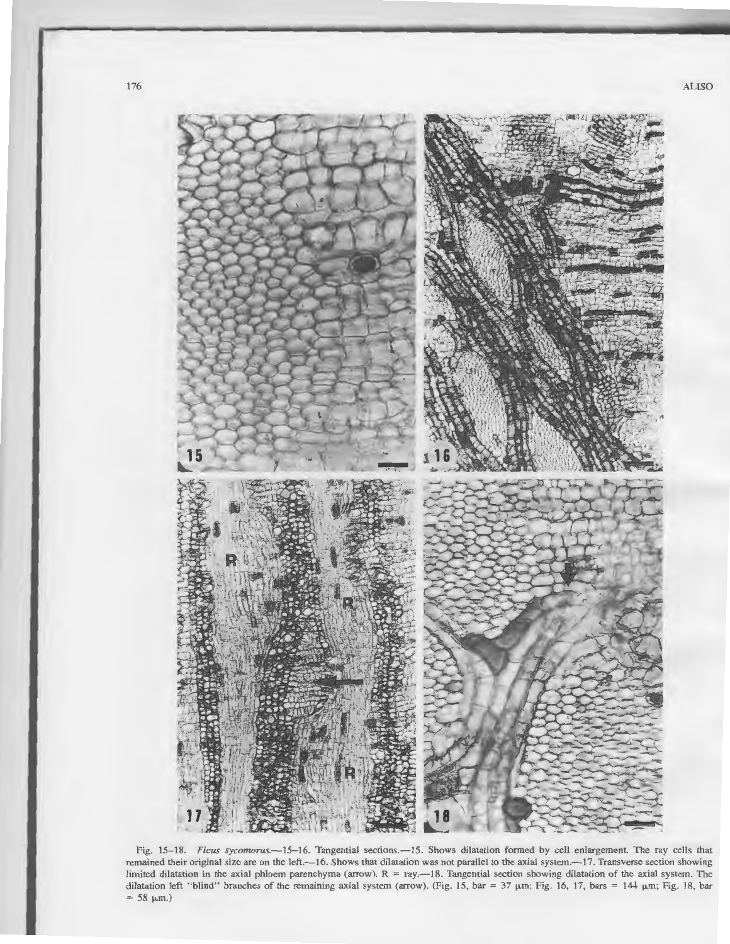

Fig. 15-18. *Ficus sycomorus.*--15-16. Tangential sections.--15. Shows dilatation formed by cell enlargement. The ray cells that remained their original size are on the left.-16. Shows that dilatation was not parallel to the axial system.-17. Transverse section showing limited dilatation in the axial phloem parenchyma (arrow).  $R = ray. -18$ . Tangential section showing dilatation of the axial system. The dilatation left "blind" branches of the remaining axial system (arrow). (Fig. 15, bar = 37  $\mu$ m; Fig. 16, 17, bars = 144  $\mu$ m; Fig. 18, bar  $= 58 \mu m.$ )